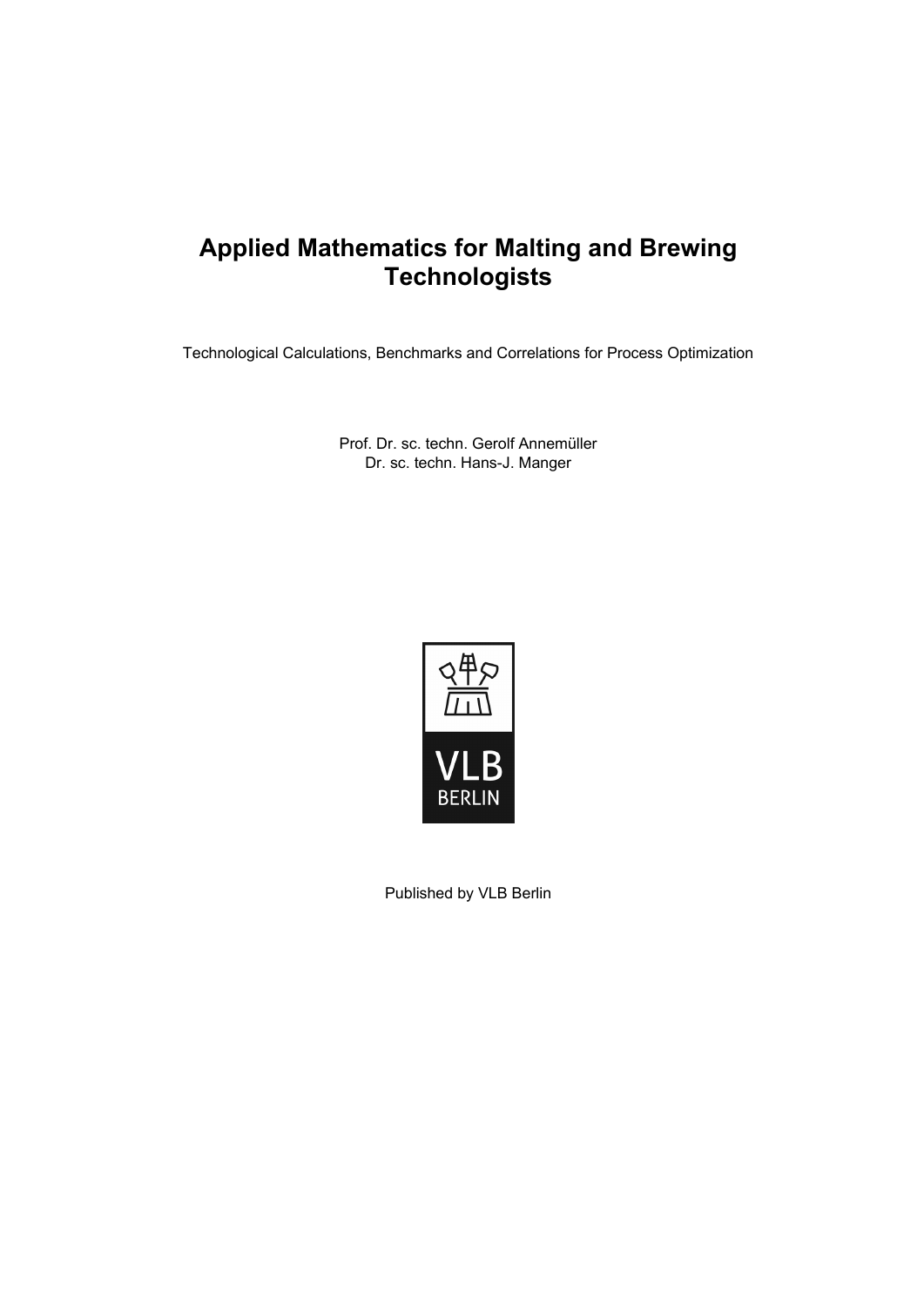## **Applied Mathematics for Malting and Brewing Technologists**

Technological Calculations, Benchmarks and Correlations for Process Optimization

Prof. Dr. sc. techn. Gerolf Annemüller Dr. sc. techn. Hans-J. Manger



Published by VLB Berlin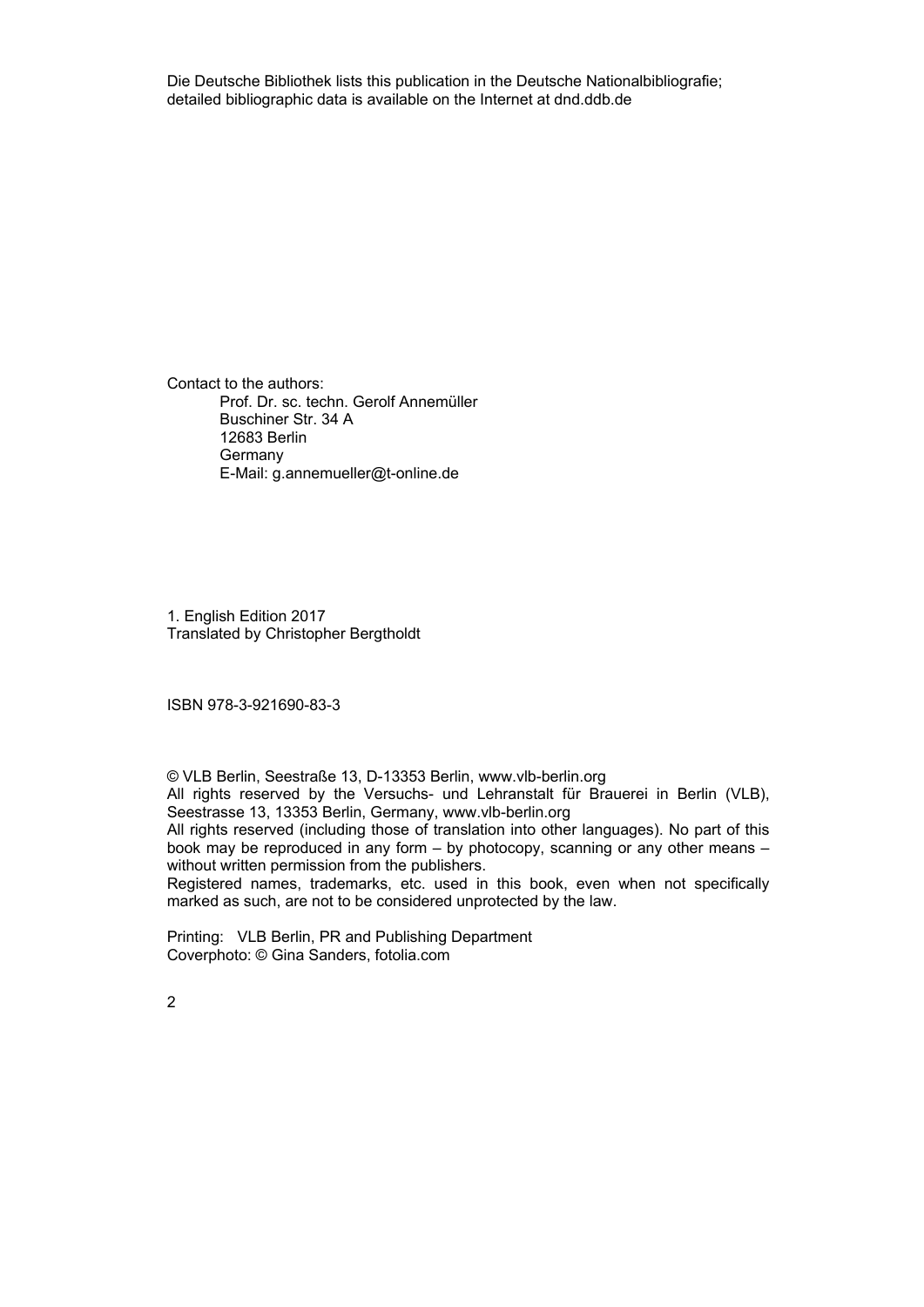Die Deutsche Bibliothek lists this publication in the Deutsche Nationalbibliografie; detailed bibliographic data is available on the Internet at dnd.ddb.de

Contact to the authors: Prof. Dr. sc. techn. Gerolf Annemüller Buschiner Str. 34 A 12683 Berlin **Germany** E-Mail: g.annemueller@t-online.de

1. English Edition 2017 Translated by Christopher Bergtholdt

ISBN 978-3-921690-83-3

© VLB Berlin, Seestraße 13, D-13353 Berlin, www.vlb-berlin.org

All rights reserved by the Versuchs- und Lehranstalt für Brauerei in Berlin (VLB), Seestrasse 13, 13353 Berlin, Germany, www.vlb-berlin.org

All rights reserved (including those of translation into other languages). No part of this book may be reproduced in any form – by photocopy, scanning or any other means – without written permission from the publishers.

Registered names, trademarks, etc. used in this book, even when not specifically marked as such, are not to be considered unprotected by the law.

Printing: VLB Berlin, PR and Publishing Department Coverphoto: © Gina Sanders, fotolia.com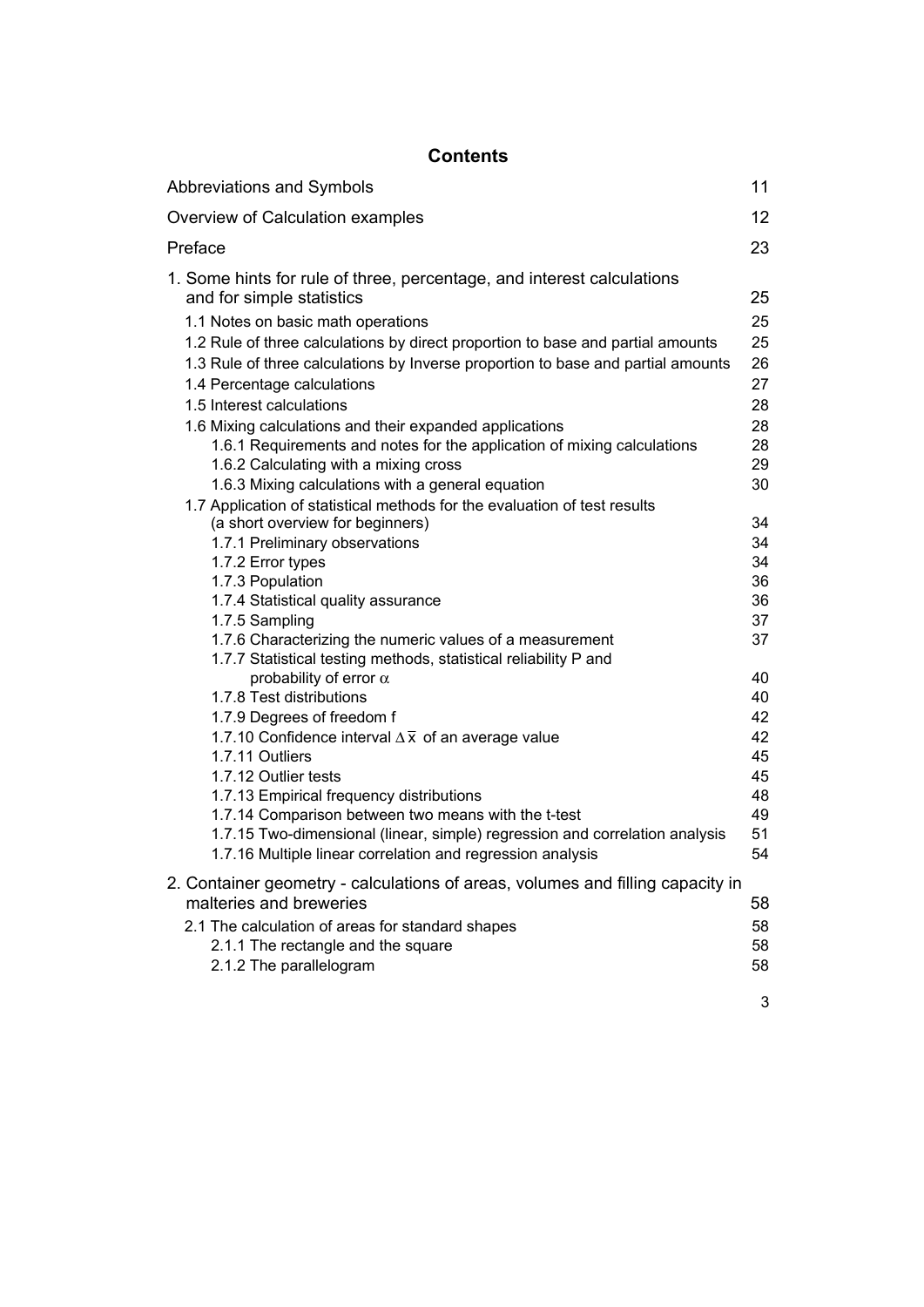## **Contents**

| <b>Abbreviations and Symbols</b>                                                                                                                                                                                                                                                                                                                                                                                                                                                                                                                                                                                                                                                                                                                                                                                                                                                                                                                                                                                                                                                                                                                                                                                                                                                                                                                                                                                                                                    | 11                                                                                                                                                             |
|---------------------------------------------------------------------------------------------------------------------------------------------------------------------------------------------------------------------------------------------------------------------------------------------------------------------------------------------------------------------------------------------------------------------------------------------------------------------------------------------------------------------------------------------------------------------------------------------------------------------------------------------------------------------------------------------------------------------------------------------------------------------------------------------------------------------------------------------------------------------------------------------------------------------------------------------------------------------------------------------------------------------------------------------------------------------------------------------------------------------------------------------------------------------------------------------------------------------------------------------------------------------------------------------------------------------------------------------------------------------------------------------------------------------------------------------------------------------|----------------------------------------------------------------------------------------------------------------------------------------------------------------|
| Overview of Calculation examples                                                                                                                                                                                                                                                                                                                                                                                                                                                                                                                                                                                                                                                                                                                                                                                                                                                                                                                                                                                                                                                                                                                                                                                                                                                                                                                                                                                                                                    | 12 <sub>2</sub>                                                                                                                                                |
| Preface                                                                                                                                                                                                                                                                                                                                                                                                                                                                                                                                                                                                                                                                                                                                                                                                                                                                                                                                                                                                                                                                                                                                                                                                                                                                                                                                                                                                                                                             | 23                                                                                                                                                             |
| 1. Some hints for rule of three, percentage, and interest calculations<br>and for simple statistics<br>1.1 Notes on basic math operations<br>1.2 Rule of three calculations by direct proportion to base and partial amounts<br>1.3 Rule of three calculations by Inverse proportion to base and partial amounts<br>1.4 Percentage calculations<br>1.5 Interest calculations<br>1.6 Mixing calculations and their expanded applications<br>1.6.1 Requirements and notes for the application of mixing calculations<br>1.6.2 Calculating with a mixing cross<br>1.6.3 Mixing calculations with a general equation<br>1.7 Application of statistical methods for the evaluation of test results<br>(a short overview for beginners)<br>1.7.1 Preliminary observations<br>1.7.2 Error types<br>1.7.3 Population<br>1.7.4 Statistical quality assurance<br>1.7.5 Sampling<br>1.7.6 Characterizing the numeric values of a measurement<br>1.7.7 Statistical testing methods, statistical reliability P and<br>probability of error $\alpha$<br>1.7.8 Test distributions<br>1.7.9 Degrees of freedom f<br>1.7.10 Confidence interval $\Delta \overline{x}$ of an average value<br>1.7.11 Outliers<br>1.7.12 Outlier tests<br>1.7.13 Empirical frequency distributions<br>1.7.14 Comparison between two means with the t-test<br>1.7.15 Two-dimensional (linear, simple) regression and correlation analysis<br>1.7.16 Multiple linear correlation and regression analysis | 25<br>25<br>25<br>26<br>27<br>28<br>28<br>28<br>29<br>30<br>34<br>34<br>34<br>36<br>36<br>37<br>37<br>40<br>40<br>42<br>42<br>45<br>45<br>48<br>49<br>51<br>54 |
| 2. Container geometry - calculations of areas, volumes and filling capacity in<br>malteries and breweries<br>2.1 The calculation of areas for standard shapes<br>2.1.1 The rectangle and the square                                                                                                                                                                                                                                                                                                                                                                                                                                                                                                                                                                                                                                                                                                                                                                                                                                                                                                                                                                                                                                                                                                                                                                                                                                                                 | 58<br>58<br>58                                                                                                                                                 |
| 2.1.2 The parallelogram                                                                                                                                                                                                                                                                                                                                                                                                                                                                                                                                                                                                                                                                                                                                                                                                                                                                                                                                                                                                                                                                                                                                                                                                                                                                                                                                                                                                                                             | 58                                                                                                                                                             |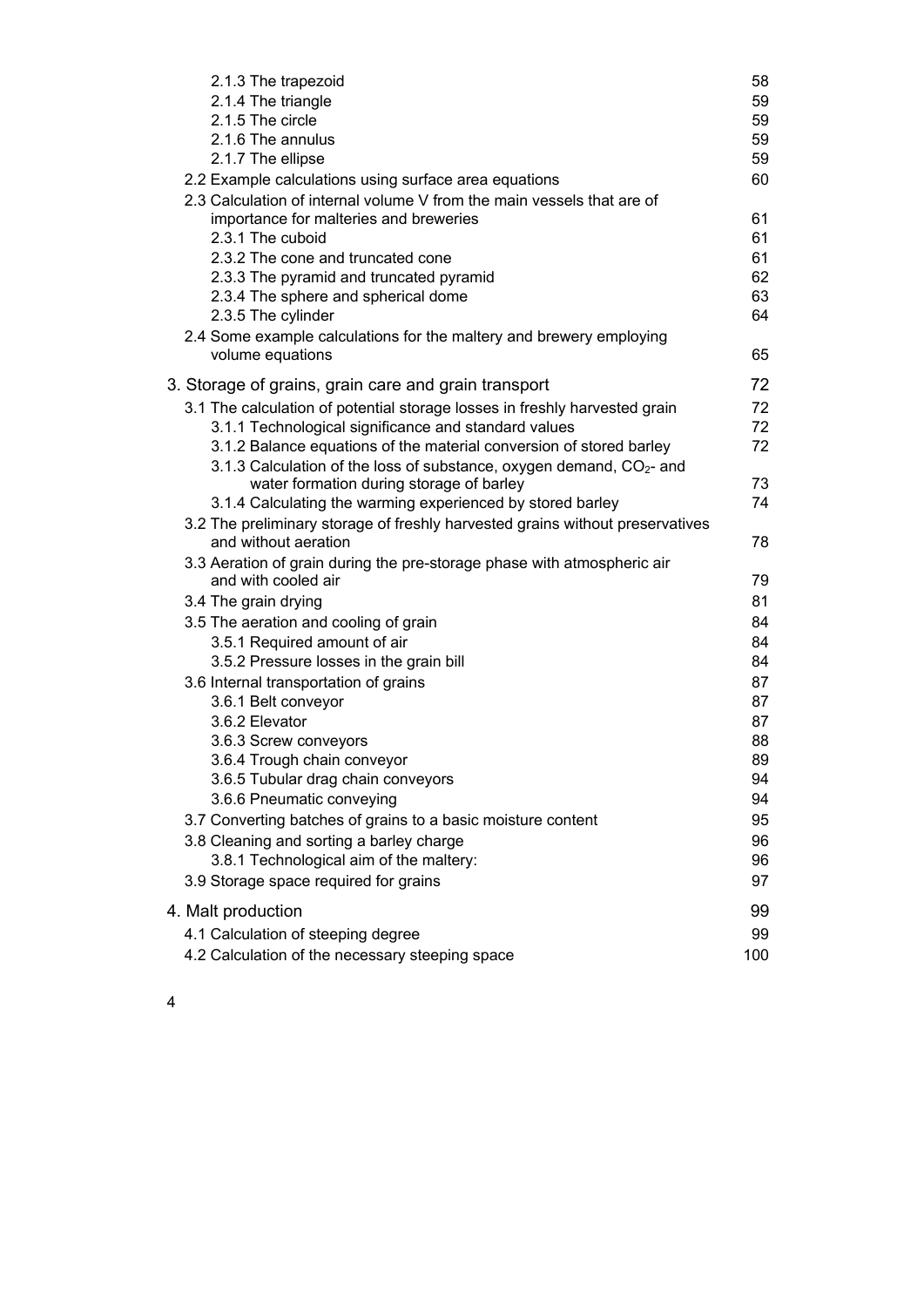| 2.1.3 The trapezoid                                                                                                | 58  |
|--------------------------------------------------------------------------------------------------------------------|-----|
| 2.1.4 The triangle                                                                                                 | 59  |
| 2.1.5 The circle                                                                                                   | 59  |
| 2.1.6 The annulus                                                                                                  | 59  |
| 2.1.7 The ellipse                                                                                                  | 59  |
| 2.2 Example calculations using surface area equations                                                              | 60  |
| 2.3 Calculation of internal volume V from the main vessels that are of                                             |     |
| importance for malteries and breweries                                                                             | 61  |
| 2.3.1 The cuboid                                                                                                   | 61  |
| 2.3.2 The cone and truncated cone                                                                                  | 61  |
| 2.3.3 The pyramid and truncated pyramid                                                                            | 62  |
| 2.3.4 The sphere and spherical dome                                                                                | 63  |
| 2.3.5 The cylinder                                                                                                 | 64  |
| 2.4 Some example calculations for the maltery and brewery employing<br>volume equations                            | 65  |
| 3. Storage of grains, grain care and grain transport                                                               | 72  |
| 3.1 The calculation of potential storage losses in freshly harvested grain                                         | 72  |
| 3.1.1 Technological significance and standard values                                                               | 72  |
| 3.1.2 Balance equations of the material conversion of stored barley                                                | 72  |
| 3.1.3 Calculation of the loss of substance, oxygen demand, $CO2$ - and<br>water formation during storage of barley | 73  |
| 3.1.4 Calculating the warming experienced by stored barley                                                         | 74  |
| 3.2 The preliminary storage of freshly harvested grains without preservatives                                      |     |
| and without aeration                                                                                               | 78  |
| 3.3 Aeration of grain during the pre-storage phase with atmospheric air                                            |     |
| and with cooled air                                                                                                | 79  |
| 3.4 The grain drying                                                                                               | 81  |
| 3.5 The aeration and cooling of grain                                                                              | 84  |
| 3.5.1 Required amount of air                                                                                       | 84  |
| 3.5.2 Pressure losses in the grain bill                                                                            | 84  |
| 3.6 Internal transportation of grains                                                                              | 87  |
| 3.6.1 Belt conveyor                                                                                                | 87  |
| 3.6.2 Elevator                                                                                                     | 87  |
| 3.6.3 Screw conveyors                                                                                              | 88  |
| 3.6.4 Trough chain conveyor                                                                                        | 89  |
| 3.6.5 Tubular drag chain conveyors                                                                                 | 94  |
| 3.6.6 Pneumatic conveying                                                                                          | 94  |
| 3.7 Converting batches of grains to a basic moisture content                                                       | 95  |
| 3.8 Cleaning and sorting a barley charge                                                                           | 96  |
| 3.8.1 Technological aim of the maltery:                                                                            | 96  |
| 3.9 Storage space required for grains                                                                              | 97  |
| 4. Malt production                                                                                                 | 99  |
| 4.1 Calculation of steeping degree                                                                                 | 99  |
| 4.2 Calculation of the necessary steeping space                                                                    | 100 |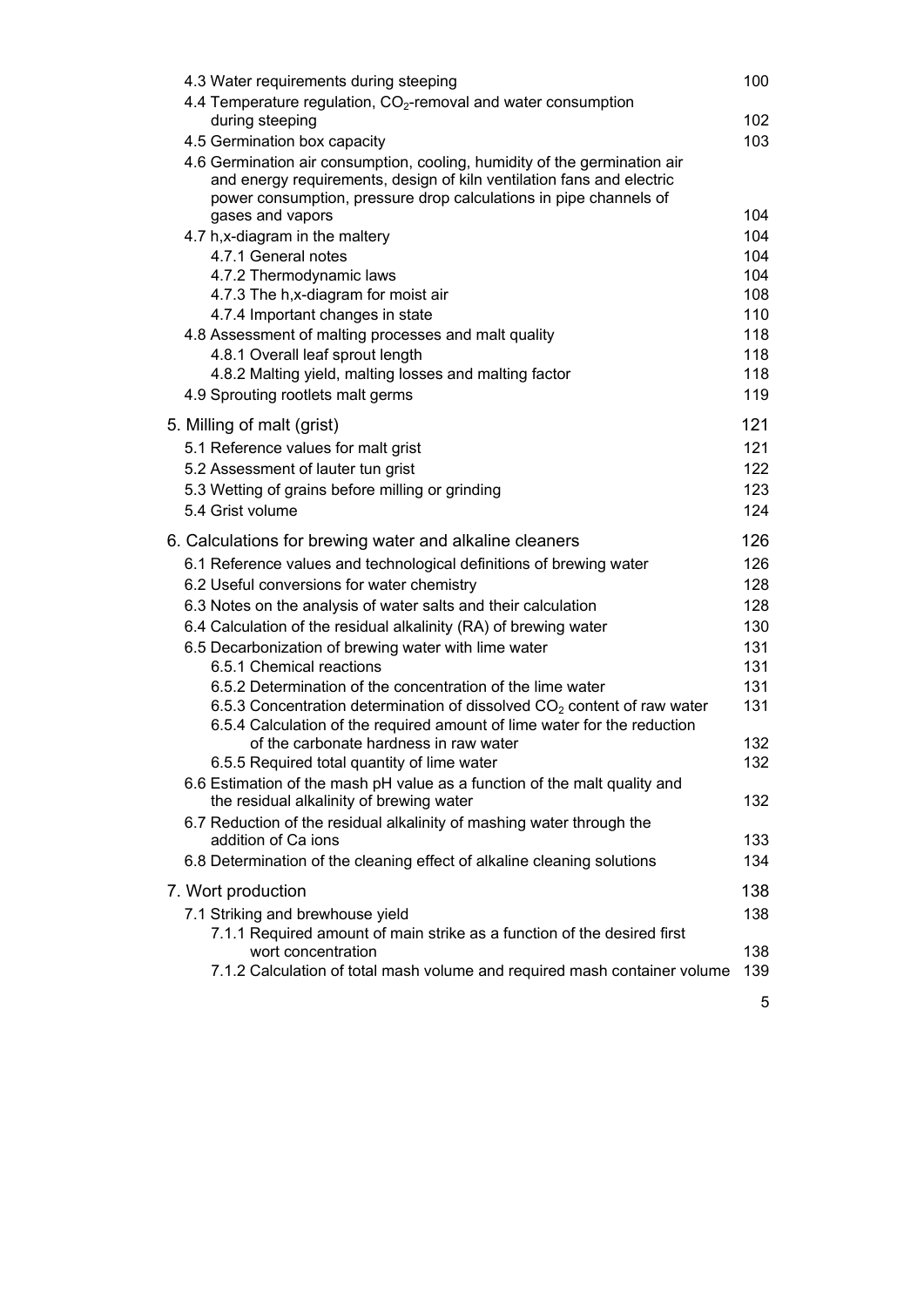| 4.3 Water requirements during steeping                                   | 100                                                                                                                                                                                                                                                                                                                                                                                                                                                                                                                                                                                                                                                                                                                                                                                                                                                                                                                                                                                                                                                                                                                                                                                                                                                                                                                                                                                                                                                                                                                                                                                                                    |
|--------------------------------------------------------------------------|------------------------------------------------------------------------------------------------------------------------------------------------------------------------------------------------------------------------------------------------------------------------------------------------------------------------------------------------------------------------------------------------------------------------------------------------------------------------------------------------------------------------------------------------------------------------------------------------------------------------------------------------------------------------------------------------------------------------------------------------------------------------------------------------------------------------------------------------------------------------------------------------------------------------------------------------------------------------------------------------------------------------------------------------------------------------------------------------------------------------------------------------------------------------------------------------------------------------------------------------------------------------------------------------------------------------------------------------------------------------------------------------------------------------------------------------------------------------------------------------------------------------------------------------------------------------------------------------------------------------|
|                                                                          |                                                                                                                                                                                                                                                                                                                                                                                                                                                                                                                                                                                                                                                                                                                                                                                                                                                                                                                                                                                                                                                                                                                                                                                                                                                                                                                                                                                                                                                                                                                                                                                                                        |
|                                                                          | 102                                                                                                                                                                                                                                                                                                                                                                                                                                                                                                                                                                                                                                                                                                                                                                                                                                                                                                                                                                                                                                                                                                                                                                                                                                                                                                                                                                                                                                                                                                                                                                                                                    |
|                                                                          | 103                                                                                                                                                                                                                                                                                                                                                                                                                                                                                                                                                                                                                                                                                                                                                                                                                                                                                                                                                                                                                                                                                                                                                                                                                                                                                                                                                                                                                                                                                                                                                                                                                    |
| and energy requirements, design of kiln ventilation fans and electric    |                                                                                                                                                                                                                                                                                                                                                                                                                                                                                                                                                                                                                                                                                                                                                                                                                                                                                                                                                                                                                                                                                                                                                                                                                                                                                                                                                                                                                                                                                                                                                                                                                        |
|                                                                          | 104                                                                                                                                                                                                                                                                                                                                                                                                                                                                                                                                                                                                                                                                                                                                                                                                                                                                                                                                                                                                                                                                                                                                                                                                                                                                                                                                                                                                                                                                                                                                                                                                                    |
|                                                                          | 104                                                                                                                                                                                                                                                                                                                                                                                                                                                                                                                                                                                                                                                                                                                                                                                                                                                                                                                                                                                                                                                                                                                                                                                                                                                                                                                                                                                                                                                                                                                                                                                                                    |
|                                                                          | 104                                                                                                                                                                                                                                                                                                                                                                                                                                                                                                                                                                                                                                                                                                                                                                                                                                                                                                                                                                                                                                                                                                                                                                                                                                                                                                                                                                                                                                                                                                                                                                                                                    |
|                                                                          | 104                                                                                                                                                                                                                                                                                                                                                                                                                                                                                                                                                                                                                                                                                                                                                                                                                                                                                                                                                                                                                                                                                                                                                                                                                                                                                                                                                                                                                                                                                                                                                                                                                    |
|                                                                          | 108                                                                                                                                                                                                                                                                                                                                                                                                                                                                                                                                                                                                                                                                                                                                                                                                                                                                                                                                                                                                                                                                                                                                                                                                                                                                                                                                                                                                                                                                                                                                                                                                                    |
|                                                                          | 110                                                                                                                                                                                                                                                                                                                                                                                                                                                                                                                                                                                                                                                                                                                                                                                                                                                                                                                                                                                                                                                                                                                                                                                                                                                                                                                                                                                                                                                                                                                                                                                                                    |
|                                                                          | 118                                                                                                                                                                                                                                                                                                                                                                                                                                                                                                                                                                                                                                                                                                                                                                                                                                                                                                                                                                                                                                                                                                                                                                                                                                                                                                                                                                                                                                                                                                                                                                                                                    |
| 4.8.1 Overall leaf sprout length                                         | 118                                                                                                                                                                                                                                                                                                                                                                                                                                                                                                                                                                                                                                                                                                                                                                                                                                                                                                                                                                                                                                                                                                                                                                                                                                                                                                                                                                                                                                                                                                                                                                                                                    |
| 4.8.2 Malting yield, malting losses and malting factor                   | 118                                                                                                                                                                                                                                                                                                                                                                                                                                                                                                                                                                                                                                                                                                                                                                                                                                                                                                                                                                                                                                                                                                                                                                                                                                                                                                                                                                                                                                                                                                                                                                                                                    |
| 4.9 Sprouting rootlets malt germs                                        | 119                                                                                                                                                                                                                                                                                                                                                                                                                                                                                                                                                                                                                                                                                                                                                                                                                                                                                                                                                                                                                                                                                                                                                                                                                                                                                                                                                                                                                                                                                                                                                                                                                    |
|                                                                          | 121                                                                                                                                                                                                                                                                                                                                                                                                                                                                                                                                                                                                                                                                                                                                                                                                                                                                                                                                                                                                                                                                                                                                                                                                                                                                                                                                                                                                                                                                                                                                                                                                                    |
|                                                                          | 121                                                                                                                                                                                                                                                                                                                                                                                                                                                                                                                                                                                                                                                                                                                                                                                                                                                                                                                                                                                                                                                                                                                                                                                                                                                                                                                                                                                                                                                                                                                                                                                                                    |
|                                                                          | 122                                                                                                                                                                                                                                                                                                                                                                                                                                                                                                                                                                                                                                                                                                                                                                                                                                                                                                                                                                                                                                                                                                                                                                                                                                                                                                                                                                                                                                                                                                                                                                                                                    |
|                                                                          | 123                                                                                                                                                                                                                                                                                                                                                                                                                                                                                                                                                                                                                                                                                                                                                                                                                                                                                                                                                                                                                                                                                                                                                                                                                                                                                                                                                                                                                                                                                                                                                                                                                    |
| 5.4 Grist volume                                                         | 124                                                                                                                                                                                                                                                                                                                                                                                                                                                                                                                                                                                                                                                                                                                                                                                                                                                                                                                                                                                                                                                                                                                                                                                                                                                                                                                                                                                                                                                                                                                                                                                                                    |
|                                                                          | 126                                                                                                                                                                                                                                                                                                                                                                                                                                                                                                                                                                                                                                                                                                                                                                                                                                                                                                                                                                                                                                                                                                                                                                                                                                                                                                                                                                                                                                                                                                                                                                                                                    |
|                                                                          | 126                                                                                                                                                                                                                                                                                                                                                                                                                                                                                                                                                                                                                                                                                                                                                                                                                                                                                                                                                                                                                                                                                                                                                                                                                                                                                                                                                                                                                                                                                                                                                                                                                    |
|                                                                          | 128                                                                                                                                                                                                                                                                                                                                                                                                                                                                                                                                                                                                                                                                                                                                                                                                                                                                                                                                                                                                                                                                                                                                                                                                                                                                                                                                                                                                                                                                                                                                                                                                                    |
|                                                                          | 128                                                                                                                                                                                                                                                                                                                                                                                                                                                                                                                                                                                                                                                                                                                                                                                                                                                                                                                                                                                                                                                                                                                                                                                                                                                                                                                                                                                                                                                                                                                                                                                                                    |
|                                                                          | 130                                                                                                                                                                                                                                                                                                                                                                                                                                                                                                                                                                                                                                                                                                                                                                                                                                                                                                                                                                                                                                                                                                                                                                                                                                                                                                                                                                                                                                                                                                                                                                                                                    |
|                                                                          | 131                                                                                                                                                                                                                                                                                                                                                                                                                                                                                                                                                                                                                                                                                                                                                                                                                                                                                                                                                                                                                                                                                                                                                                                                                                                                                                                                                                                                                                                                                                                                                                                                                    |
|                                                                          | 131                                                                                                                                                                                                                                                                                                                                                                                                                                                                                                                                                                                                                                                                                                                                                                                                                                                                                                                                                                                                                                                                                                                                                                                                                                                                                                                                                                                                                                                                                                                                                                                                                    |
|                                                                          | 131                                                                                                                                                                                                                                                                                                                                                                                                                                                                                                                                                                                                                                                                                                                                                                                                                                                                                                                                                                                                                                                                                                                                                                                                                                                                                                                                                                                                                                                                                                                                                                                                                    |
| 6.5.4 Calculation of the required amount of lime water for the reduction | 131                                                                                                                                                                                                                                                                                                                                                                                                                                                                                                                                                                                                                                                                                                                                                                                                                                                                                                                                                                                                                                                                                                                                                                                                                                                                                                                                                                                                                                                                                                                                                                                                                    |
|                                                                          | 132                                                                                                                                                                                                                                                                                                                                                                                                                                                                                                                                                                                                                                                                                                                                                                                                                                                                                                                                                                                                                                                                                                                                                                                                                                                                                                                                                                                                                                                                                                                                                                                                                    |
| 6.5.5 Required total quantity of lime water                              | 132                                                                                                                                                                                                                                                                                                                                                                                                                                                                                                                                                                                                                                                                                                                                                                                                                                                                                                                                                                                                                                                                                                                                                                                                                                                                                                                                                                                                                                                                                                                                                                                                                    |
|                                                                          | 132                                                                                                                                                                                                                                                                                                                                                                                                                                                                                                                                                                                                                                                                                                                                                                                                                                                                                                                                                                                                                                                                                                                                                                                                                                                                                                                                                                                                                                                                                                                                                                                                                    |
|                                                                          |                                                                                                                                                                                                                                                                                                                                                                                                                                                                                                                                                                                                                                                                                                                                                                                                                                                                                                                                                                                                                                                                                                                                                                                                                                                                                                                                                                                                                                                                                                                                                                                                                        |
| addition of Ca ions                                                      | 133                                                                                                                                                                                                                                                                                                                                                                                                                                                                                                                                                                                                                                                                                                                                                                                                                                                                                                                                                                                                                                                                                                                                                                                                                                                                                                                                                                                                                                                                                                                                                                                                                    |
| 6.8 Determination of the cleaning effect of alkaline cleaning solutions  | 134                                                                                                                                                                                                                                                                                                                                                                                                                                                                                                                                                                                                                                                                                                                                                                                                                                                                                                                                                                                                                                                                                                                                                                                                                                                                                                                                                                                                                                                                                                                                                                                                                    |
|                                                                          | 138                                                                                                                                                                                                                                                                                                                                                                                                                                                                                                                                                                                                                                                                                                                                                                                                                                                                                                                                                                                                                                                                                                                                                                                                                                                                                                                                                                                                                                                                                                                                                                                                                    |
| 7.1 Striking and brewhouse yield                                         | 138                                                                                                                                                                                                                                                                                                                                                                                                                                                                                                                                                                                                                                                                                                                                                                                                                                                                                                                                                                                                                                                                                                                                                                                                                                                                                                                                                                                                                                                                                                                                                                                                                    |
| 7.1.1 Required amount of main strike as a function of the desired first  |                                                                                                                                                                                                                                                                                                                                                                                                                                                                                                                                                                                                                                                                                                                                                                                                                                                                                                                                                                                                                                                                                                                                                                                                                                                                                                                                                                                                                                                                                                                                                                                                                        |
|                                                                          | 138                                                                                                                                                                                                                                                                                                                                                                                                                                                                                                                                                                                                                                                                                                                                                                                                                                                                                                                                                                                                                                                                                                                                                                                                                                                                                                                                                                                                                                                                                                                                                                                                                    |
|                                                                          | 139                                                                                                                                                                                                                                                                                                                                                                                                                                                                                                                                                                                                                                                                                                                                                                                                                                                                                                                                                                                                                                                                                                                                                                                                                                                                                                                                                                                                                                                                                                                                                                                                                    |
|                                                                          | 4.4 Temperature regulation, CO <sub>2</sub> -removal and water consumption<br>during steeping<br>4.5 Germination box capacity<br>4.6 Germination air consumption, cooling, humidity of the germination air<br>power consumption, pressure drop calculations in pipe channels of<br>gases and vapors<br>4.7 h, x-diagram in the maltery<br>4.7.1 General notes<br>4.7.2 Thermodynamic laws<br>4.7.3 The h, x-diagram for moist air<br>4.7.4 Important changes in state<br>4.8 Assessment of malting processes and malt quality<br>5. Milling of malt (grist)<br>5.1 Reference values for malt grist<br>5.2 Assessment of lauter tun grist<br>5.3 Wetting of grains before milling or grinding<br>6. Calculations for brewing water and alkaline cleaners<br>6.1 Reference values and technological definitions of brewing water<br>6.2 Useful conversions for water chemistry<br>6.3 Notes on the analysis of water salts and their calculation<br>6.4 Calculation of the residual alkalinity (RA) of brewing water<br>6.5 Decarbonization of brewing water with lime water<br>6.5.1 Chemical reactions<br>6.5.2 Determination of the concentration of the lime water<br>6.5.3 Concentration determination of dissolved $CO2$ content of raw water<br>of the carbonate hardness in raw water<br>6.6 Estimation of the mash pH value as a function of the malt quality and<br>the residual alkalinity of brewing water<br>6.7 Reduction of the residual alkalinity of mashing water through the<br>7. Wort production<br>wort concentration<br>7.1.2 Calculation of total mash volume and required mash container volume |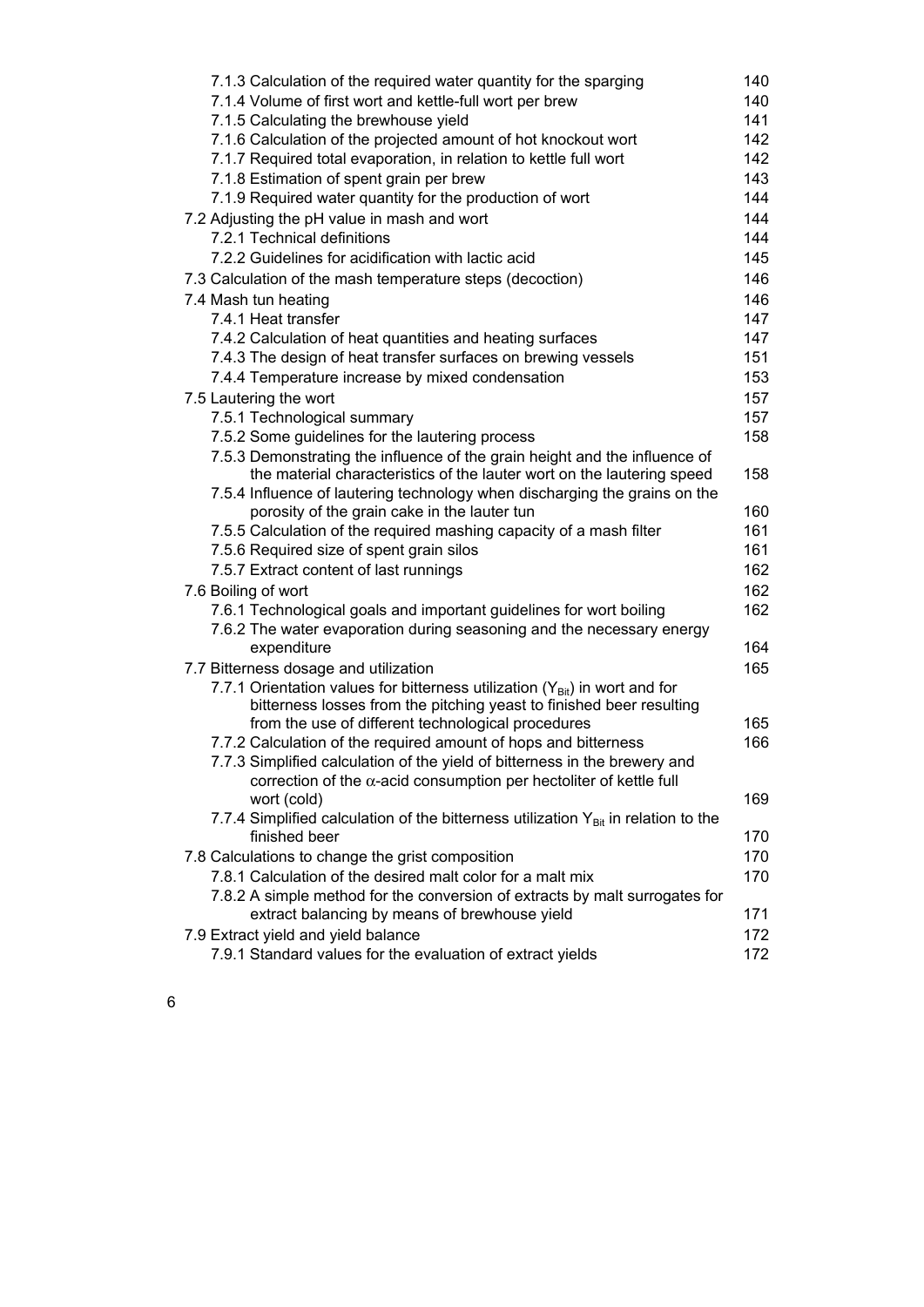| 7.1.3 Calculation of the required water quantity for the sparging                                                               | 140 |
|---------------------------------------------------------------------------------------------------------------------------------|-----|
| 7.1.4 Volume of first wort and kettle-full wort per brew                                                                        | 140 |
| 7.1.5 Calculating the brewhouse yield                                                                                           | 141 |
| 7.1.6 Calculation of the projected amount of hot knockout wort                                                                  | 142 |
| 7.1.7 Required total evaporation, in relation to kettle full wort                                                               | 142 |
| 7.1.8 Estimation of spent grain per brew                                                                                        | 143 |
| 7.1.9 Required water quantity for the production of wort                                                                        | 144 |
| 7.2 Adjusting the pH value in mash and wort                                                                                     | 144 |
| 7.2.1 Technical definitions                                                                                                     | 144 |
| 7.2.2 Guidelines for acidification with lactic acid                                                                             | 145 |
| 7.3 Calculation of the mash temperature steps (decoction)                                                                       | 146 |
| 7.4 Mash tun heating                                                                                                            | 146 |
| 7.4.1 Heat transfer                                                                                                             | 147 |
| 7.4.2 Calculation of heat quantities and heating surfaces                                                                       | 147 |
| 7.4.3 The design of heat transfer surfaces on brewing vessels                                                                   | 151 |
| 7.4.4 Temperature increase by mixed condensation                                                                                | 153 |
| 7.5 Lautering the wort                                                                                                          | 157 |
| 7.5.1 Technological summary                                                                                                     | 157 |
| 7.5.2 Some guidelines for the lautering process                                                                                 | 158 |
| 7.5.3 Demonstrating the influence of the grain height and the influence of                                                      |     |
| the material characteristics of the lauter wort on the lautering speed                                                          | 158 |
| 7.5.4 Influence of lautering technology when discharging the grains on the                                                      |     |
| porosity of the grain cake in the lauter tun                                                                                    | 160 |
| 7.5.5 Calculation of the required mashing capacity of a mash filter                                                             | 161 |
| 7.5.6 Required size of spent grain silos                                                                                        | 161 |
| 7.5.7 Extract content of last runnings                                                                                          | 162 |
| 7.6 Boiling of wort                                                                                                             | 162 |
| 7.6.1 Technological goals and important guidelines for wort boiling                                                             | 162 |
| 7.6.2 The water evaporation during seasoning and the necessary energy<br>expenditure                                            | 164 |
|                                                                                                                                 | 165 |
| 7.7 Bitterness dosage and utilization<br>7.7.1 Orientation values for bitterness utilization $(Y_{\text{Bit}})$ in wort and for |     |
| bitterness losses from the pitching yeast to finished beer resulting                                                            |     |
| from the use of different technological procedures                                                                              | 165 |
| 7.7.2 Calculation of the required amount of hops and bitterness                                                                 | 166 |
| 7.7.3 Simplified calculation of the yield of bitterness in the brewery and                                                      |     |
| correction of the $\alpha$ -acid consumption per hectoliter of kettle full                                                      |     |
| wort (cold)                                                                                                                     | 169 |
| 7.7.4 Simplified calculation of the bitterness utilization $Y_{\text{Bit}}$ in relation to the                                  |     |
| finished beer                                                                                                                   | 170 |
| 7.8 Calculations to change the grist composition                                                                                | 170 |
| 7.8.1 Calculation of the desired malt color for a malt mix                                                                      | 170 |
| 7.8.2 A simple method for the conversion of extracts by malt surrogates for                                                     |     |
| extract balancing by means of brewhouse yield                                                                                   | 171 |
| 7.9 Extract yield and yield balance                                                                                             | 172 |
| 7.9.1 Standard values for the evaluation of extract yields                                                                      | 172 |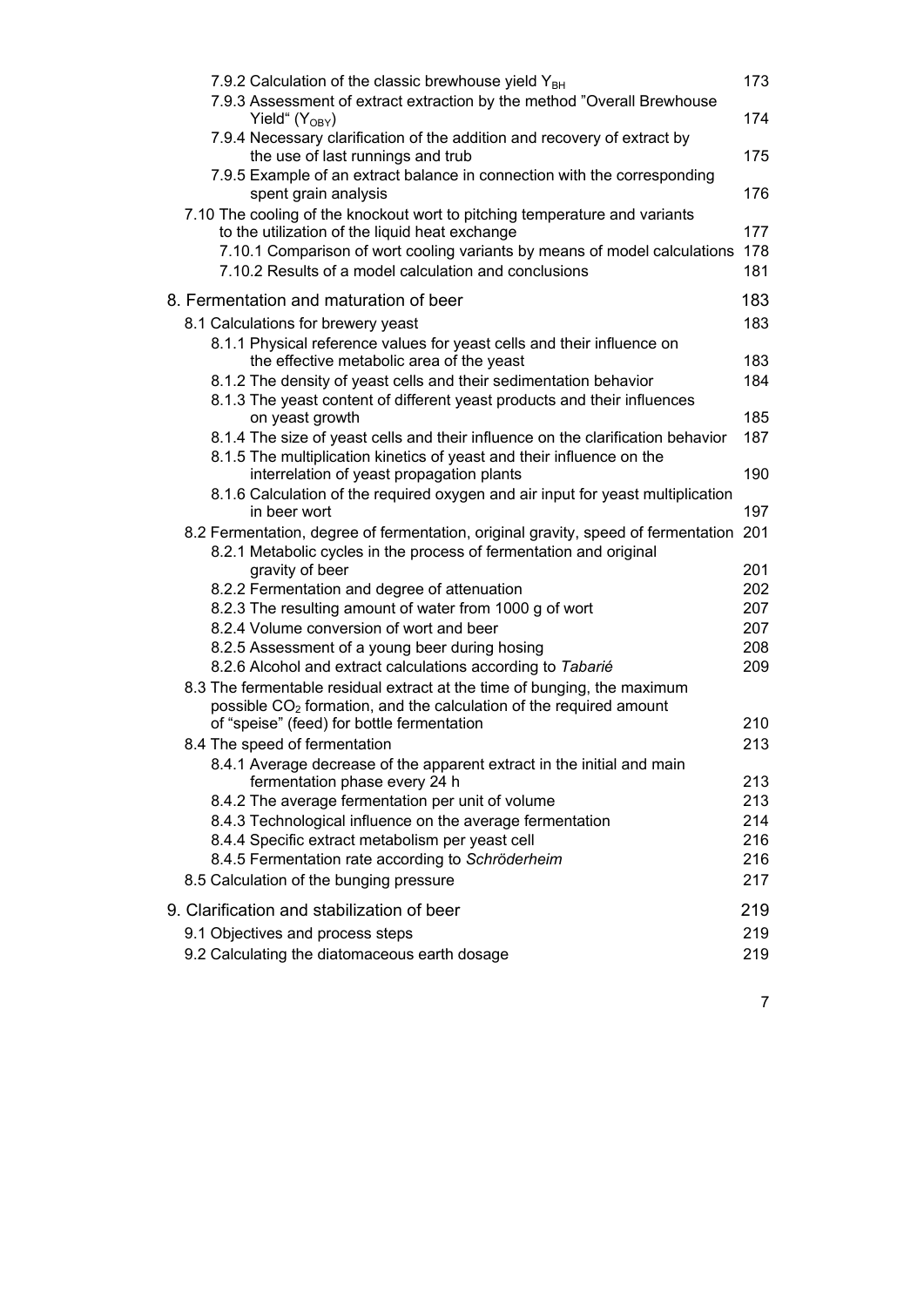| 7.9.2 Calculation of the classic brewhouse yield $Y_{BH}$                                                                                               | 173        |
|---------------------------------------------------------------------------------------------------------------------------------------------------------|------------|
| 7.9.3 Assessment of extract extraction by the method "Overall Brewhouse<br>Yield" $(Y_{OBY})$                                                           | 174        |
| 7.9.4 Necessary clarification of the addition and recovery of extract by<br>the use of last runnings and trub                                           | 175        |
| 7.9.5 Example of an extract balance in connection with the corresponding<br>spent grain analysis                                                        | 176        |
| 7.10 The cooling of the knockout wort to pitching temperature and variants                                                                              |            |
| to the utilization of the liquid heat exchange                                                                                                          | 177<br>178 |
| 7.10.1 Comparison of wort cooling variants by means of model calculations<br>7.10.2 Results of a model calculation and conclusions                      | 181        |
| 8. Fermentation and maturation of beer                                                                                                                  | 183        |
| 8.1 Calculations for brewery yeast                                                                                                                      | 183        |
| 8.1.1 Physical reference values for yeast cells and their influence on<br>the effective metabolic area of the yeast                                     | 183        |
| 8.1.2 The density of yeast cells and their sedimentation behavior                                                                                       | 184        |
| 8.1.3 The yeast content of different yeast products and their influences                                                                                |            |
| on yeast growth<br>8.1.4 The size of yeast cells and their influence on the clarification behavior                                                      | 185<br>187 |
| 8.1.5 The multiplication kinetics of yeast and their influence on the                                                                                   |            |
| interrelation of yeast propagation plants                                                                                                               | 190        |
| 8.1.6 Calculation of the required oxygen and air input for yeast multiplication                                                                         |            |
| in beer wort                                                                                                                                            | 197        |
| 8.2 Fermentation, degree of fermentation, original gravity, speed of fermentation<br>8.2.1 Metabolic cycles in the process of fermentation and original | 201        |
| gravity of beer<br>8.2.2 Fermentation and degree of attenuation                                                                                         | 201<br>202 |
| 8.2.3 The resulting amount of water from 1000 g of wort                                                                                                 | 207        |
| 8.2.4 Volume conversion of wort and beer                                                                                                                | 207        |
| 8.2.5 Assessment of a young beer during hosing                                                                                                          | 208        |
| 8.2.6 Alcohol and extract calculations according to Tabarié                                                                                             | 209        |
| 8.3 The fermentable residual extract at the time of bunging, the maximum                                                                                |            |
| possible $CO2$ formation, and the calculation of the required amount<br>of "speise" (feed) for bottle fermentation                                      | 210        |
| 8.4 The speed of fermentation                                                                                                                           | 213        |
| 8.4.1 Average decrease of the apparent extract in the initial and main                                                                                  |            |
| fermentation phase every 24 h                                                                                                                           | 213        |
| 8.4.2 The average fermentation per unit of volume                                                                                                       | 213        |
| 8.4.3 Technological influence on the average fermentation                                                                                               | 214        |
| 8.4.4 Specific extract metabolism per yeast cell                                                                                                        | 216        |
| 8.4.5 Fermentation rate according to Schröderheim<br>8.5 Calculation of the bunging pressure                                                            | 216<br>217 |
| 9. Clarification and stabilization of beer                                                                                                              | 219        |
|                                                                                                                                                         |            |
| 9.1 Objectives and process steps<br>9.2 Calculating the diatomaceous earth dosage                                                                       | 219<br>219 |
|                                                                                                                                                         |            |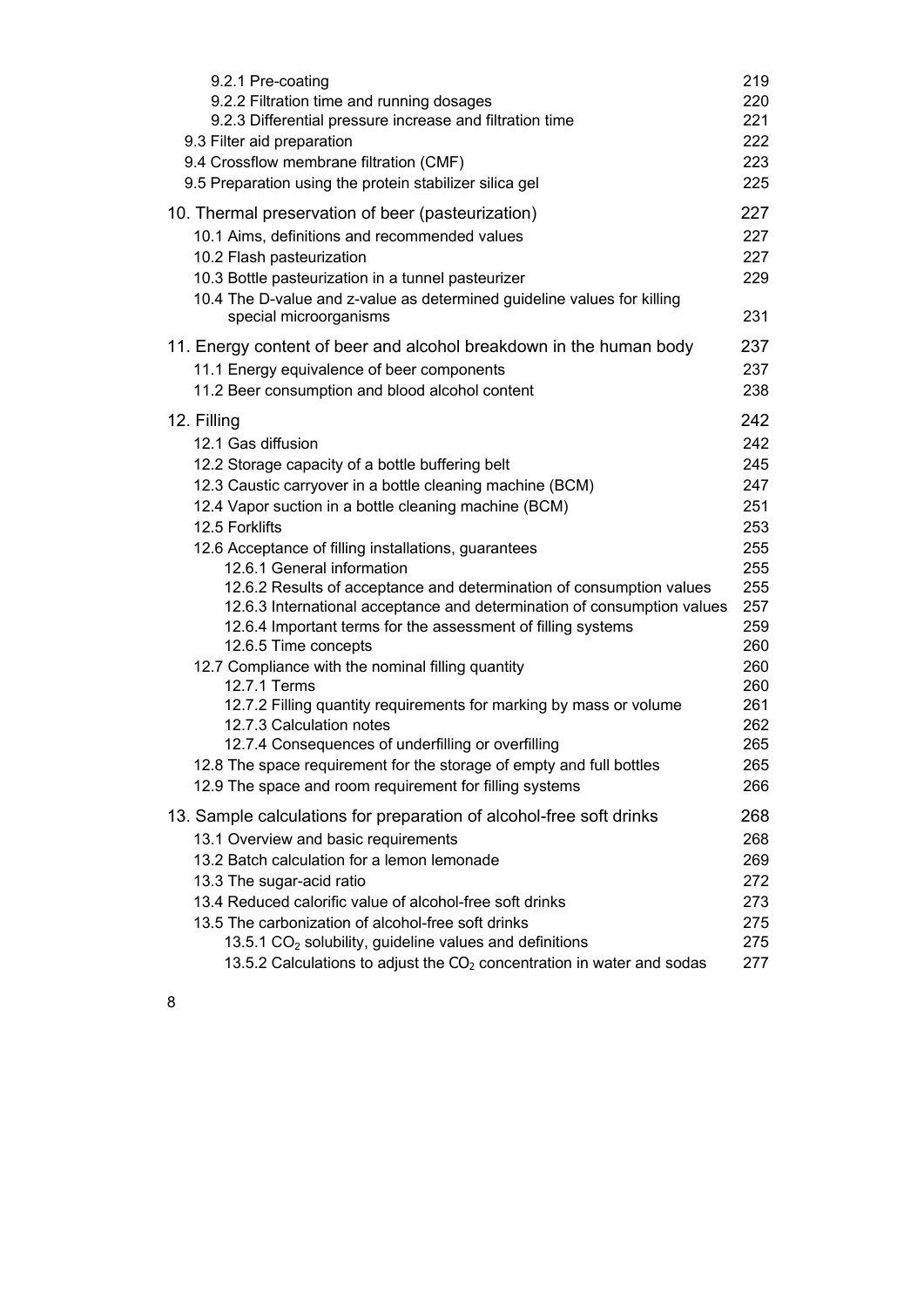| 9.2.1 Pre-coating                                                                                                                                                                                                                                                | 219                      |
|------------------------------------------------------------------------------------------------------------------------------------------------------------------------------------------------------------------------------------------------------------------|--------------------------|
| 9.2.2 Filtration time and running dosages                                                                                                                                                                                                                        | 220                      |
| 9.2.3 Differential pressure increase and filtration time                                                                                                                                                                                                         | 221                      |
| 9.3 Filter aid preparation                                                                                                                                                                                                                                       | 222                      |
| 9.4 Crossflow membrane filtration (CMF)                                                                                                                                                                                                                          | 223                      |
| 9.5 Preparation using the protein stabilizer silica gel                                                                                                                                                                                                          | 225                      |
| 10. Thermal preservation of beer (pasteurization)<br>10.1 Aims, definitions and recommended values<br>10.2 Flash pasteurization<br>10.3 Bottle pasteurization in a tunnel pasteurizer<br>10.4 The D-value and z-value as determined guideline values for killing | 227<br>227<br>227<br>229 |
| special microorganisms                                                                                                                                                                                                                                           | 231                      |
| 11. Energy content of beer and alcohol breakdown in the human body                                                                                                                                                                                               | 237                      |
| 11.1 Energy equivalence of beer components                                                                                                                                                                                                                       | 237                      |
| 11.2 Beer consumption and blood alcohol content                                                                                                                                                                                                                  | 238                      |
| 12. Filling                                                                                                                                                                                                                                                      | 242                      |
| 12.1 Gas diffusion                                                                                                                                                                                                                                               | 242                      |
| 12.2 Storage capacity of a bottle buffering belt                                                                                                                                                                                                                 | 245                      |
| 12.3 Caustic carryover in a bottle cleaning machine (BCM)                                                                                                                                                                                                        | 247                      |
| 12.4 Vapor suction in a bottle cleaning machine (BCM)                                                                                                                                                                                                            | 251                      |
| 12.5 Forklifts                                                                                                                                                                                                                                                   | 253                      |
| 12.6 Acceptance of filling installations, guarantees                                                                                                                                                                                                             | 255                      |
| 12.6.1 General information                                                                                                                                                                                                                                       | 255                      |
| 12.6.2 Results of acceptance and determination of consumption values                                                                                                                                                                                             | 255                      |
| 12.6.3 International acceptance and determination of consumption values                                                                                                                                                                                          | 257                      |
| 12.6.4 Important terms for the assessment of filling systems                                                                                                                                                                                                     | 259                      |
| 12.6.5 Time concepts                                                                                                                                                                                                                                             | 260                      |
| 12.7 Compliance with the nominal filling quantity                                                                                                                                                                                                                | 260                      |
| 12.7.1 Terms                                                                                                                                                                                                                                                     | 260                      |
| 12.7.2 Filling quantity requirements for marking by mass or volume                                                                                                                                                                                               | 261                      |
| 12.7.3 Calculation notes                                                                                                                                                                                                                                         | 262                      |
| 12.7.4 Consequences of underfilling or overfilling                                                                                                                                                                                                               | 265                      |
| 12.8 The space requirement for the storage of empty and full bottles                                                                                                                                                                                             | 265                      |
| 12.9 The space and room requirement for filling systems                                                                                                                                                                                                          | 266                      |
| 13. Sample calculations for preparation of alcohol-free soft drinks                                                                                                                                                                                              | 268                      |
| 13.1 Overview and basic requirements                                                                                                                                                                                                                             | 268                      |
| 13.2 Batch calculation for a lemon lemonade                                                                                                                                                                                                                      | 269                      |
| 13.3 The sugar-acid ratio                                                                                                                                                                                                                                        | 272                      |
| 13.4 Reduced calorific value of alcohol-free soft drinks                                                                                                                                                                                                         | 273                      |
| 13.5 The carbonization of alcohol-free soft drinks                                                                                                                                                                                                               | 275                      |
| 13.5.1 $CO2$ solubility, guideline values and definitions                                                                                                                                                                                                        | 275                      |
| 13.5.2 Calculations to adjust the $CO2$ concentration in water and sodas                                                                                                                                                                                         | 277                      |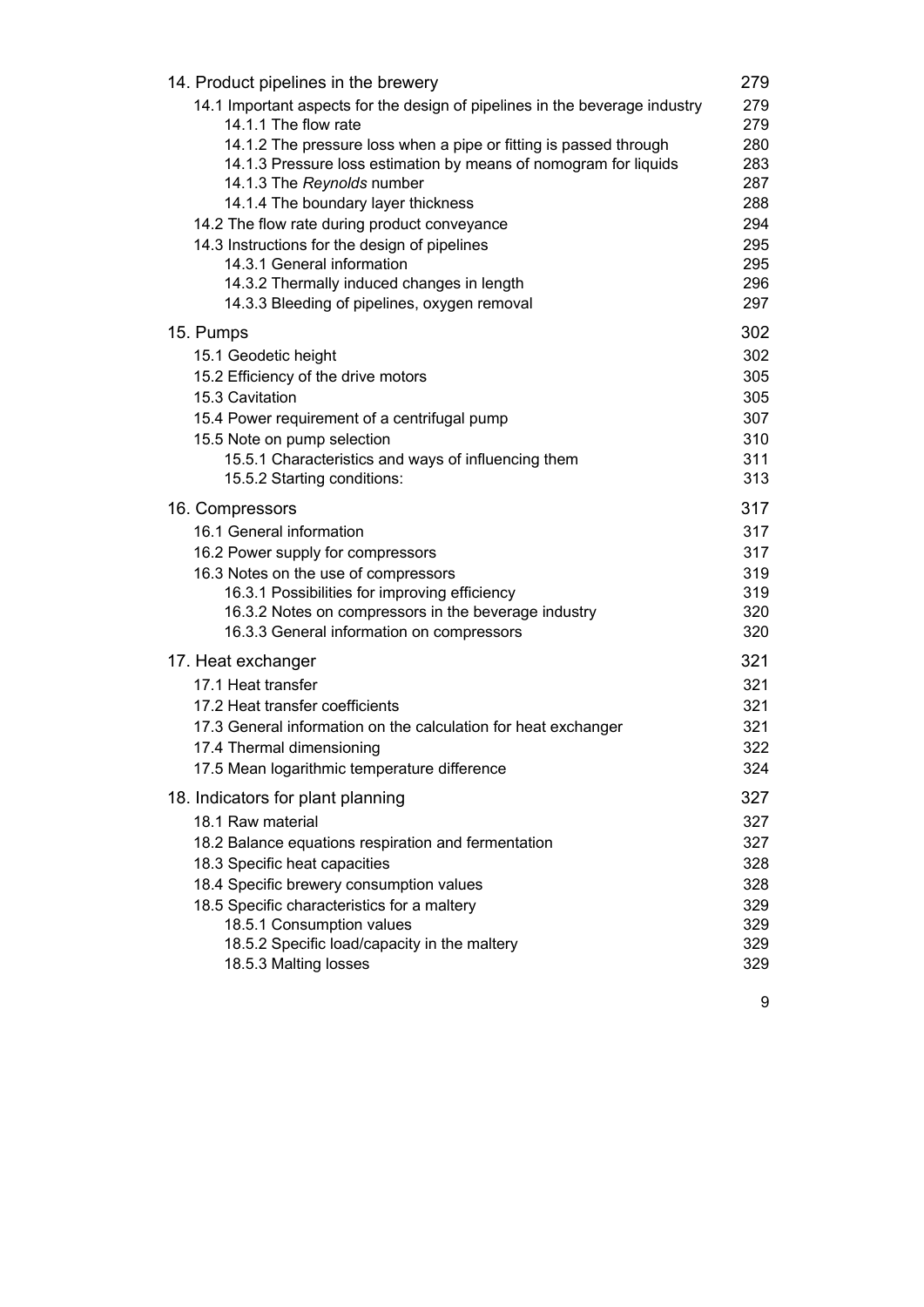| 14. Product pipelines in the brewery                                                                                                                                     | 279               |
|--------------------------------------------------------------------------------------------------------------------------------------------------------------------------|-------------------|
| 14.1 Important aspects for the design of pipelines in the beverage industry<br>14.1.1 The flow rate<br>14.1.2 The pressure loss when a pipe or fitting is passed through | 279<br>279<br>280 |
| 14.1.3 Pressure loss estimation by means of nomogram for liquids<br>14.1.3 The Reynolds number                                                                           | 283<br>287        |
| 14.1.4 The boundary layer thickness                                                                                                                                      | 288               |
| 14.2 The flow rate during product conveyance                                                                                                                             | 294               |
| 14.3 Instructions for the design of pipelines<br>14.3.1 General information                                                                                              | 295<br>295        |
| 14.3.2 Thermally induced changes in length                                                                                                                               | 296               |
| 14.3.3 Bleeding of pipelines, oxygen removal                                                                                                                             | 297               |
| 15. Pumps                                                                                                                                                                | 302               |
| 15.1 Geodetic height                                                                                                                                                     | 302               |
| 15.2 Efficiency of the drive motors                                                                                                                                      | 305               |
| 15.3 Cavitation                                                                                                                                                          | 305               |
| 15.4 Power requirement of a centrifugal pump                                                                                                                             | 307               |
| 15.5 Note on pump selection                                                                                                                                              | 310               |
| 15.5.1 Characteristics and ways of influencing them<br>15.5.2 Starting conditions:                                                                                       | 311<br>313        |
| 16. Compressors                                                                                                                                                          | 317               |
| 16.1 General information                                                                                                                                                 | 317               |
| 16.2 Power supply for compressors                                                                                                                                        | 317               |
| 16.3 Notes on the use of compressors                                                                                                                                     | 319               |
| 16.3.1 Possibilities for improving efficiency                                                                                                                            | 319               |
| 16.3.2 Notes on compressors in the beverage industry                                                                                                                     | 320               |
| 16.3.3 General information on compressors                                                                                                                                | 320               |
| 17. Heat exchanger                                                                                                                                                       | 321               |
| 17.1 Heat transfer                                                                                                                                                       | 321               |
| 17.2 Heat transfer coefficients                                                                                                                                          | 321<br>321        |
| 17.3 General information on the calculation for heat exchanger<br>17.4 Thermal dimensioning                                                                              | 322               |
| 17.5 Mean logarithmic temperature difference                                                                                                                             | 324               |
|                                                                                                                                                                          | 327               |
| 18. Indicators for plant planning<br>18.1 Raw material                                                                                                                   | 327               |
| 18.2 Balance equations respiration and fermentation                                                                                                                      | 327               |
| 18.3 Specific heat capacities                                                                                                                                            | 328               |
| 18.4 Specific brewery consumption values                                                                                                                                 | 328               |
| 18.5 Specific characteristics for a maltery                                                                                                                              | 329               |
| 18.5.1 Consumption values                                                                                                                                                | 329               |
| 18.5.2 Specific load/capacity in the maltery                                                                                                                             | 329               |
| 18.5.3 Malting losses                                                                                                                                                    | 329               |